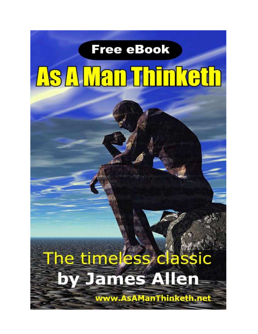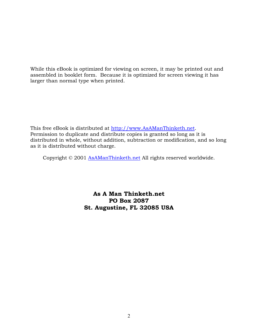While this eBook is optimized for viewing on screen, it may be printed out and assembled in booklet form. Because it is optimized for screen viewing it has larger than normal type when printed.

This free eBook is distributed at [http://www.AsAManThinketh.net.](http://www.asamanthinketh.net/) Permission to duplicate and distribute copies is granted so long as it is distributed in whole, without addition, subtraction or modification, and so long as it is distributed without charge.

Copyright © 2001 [AsAManThinketh.net](http://www.asamanthinketh.net/) All rights reserved worldwide.

As A Man Thinketh.net PO Box 2087 St. Augustine, FL 32085 USA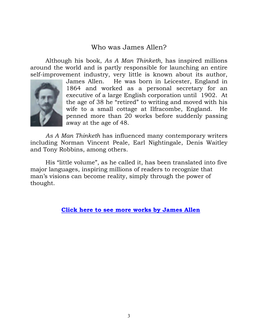# Who was James Allen?

Although his book, *As A Man Thinketh*, has inspired millions around the world and is partly responsible for launching an entire self-improvement industry, very little is known about its author,



James Allen. He was born in Leicester, England in 1864 and worked as a personal secretary for an executive of a large English corporation until 1902. At the age of 38 he "retired" to writing and moved with his wife to a small cottage at Ilfracombe, England. He penned more than 20 works before suddenly passing away at the age of 48.

*As A Man Thinketh* has influenced many contemporary writers including Norman Vincent Peale, Earl Nightingale, Denis Waitley and Tony Robbins, among others.

His "little volume", as he called it, has been translated into five major languages, inspiring millions of readers to recognize that man's visions can become reality, simply through the power of thought.

[Click here to see more works by James Allen](http://www.asamanthinketh.net/AllenBooks.htm)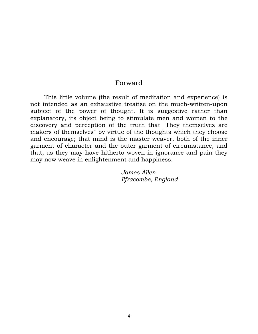#### Forward

 This little volume (the result of meditation and experience) is not intended as an exhaustive treatise on the much-written-upon subject of the power of thought. It is suggestive rather than explanatory, its object being to stimulate men and women to the discovery and perception of the truth that "They themselves are makers of themselves" by virtue of the thoughts which they choose and encourage; that mind is the master weaver, both of the inner garment of character and the outer garment of circumstance, and that, as they may have hitherto woven in ignorance and pain they may now weave in enlightenment and happiness.

> *James Allen Ilfracombe, England*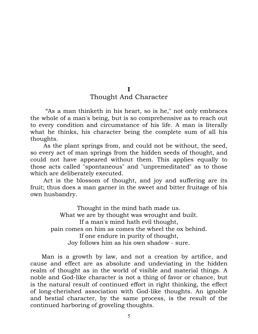I

## Thought And Character

"As a man thinketh in his heart, so is he," not only embraces the whole of a man's being, but is so comprehensive as to reach out to every condition and circumstance of his life. A man is literally what he thinks, his character being the complete sum of all his thoughts.

 As the plant springs from, and could not be without, the seed, so every act of man springs from the hidden seeds of thought, and could not have appeared without them. This applies equally to those acts called "spontaneous" and "unpremeditated" as to those which are deliberately executed.

 Act is the blossom of thought, and joy and suffering are its fruit; thus does a man garner in the sweet and bitter fruitage of his own husbandry.

Thought in the mind hath made us. What we are by thought was wrought and built. If a man's mind hath evil thought, pain comes on him as comes the wheel the ox behind. If one endure in purity of thought, Joy follows him as his own shadow - sure.

 Man is a growth by law, and not a creation by artifice, and cause and effect are as absolute and undeviating in the hidden realm of thought as in the world of visible and material things. A noble and God-like character is not a thing of favor or chance, but is the natural result of continued effort in right thinking, the effect of long-cherished association with God-like thoughts. An ignoble and bestial character, by the same process, is the result of the continued harboring of groveling thoughts.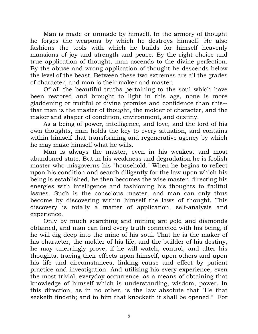Man is made or unmade by himself. In the armory of thought he forges the weapons by which he destroys himself. He also fashions the tools with which he builds for himself heavenly mansions of joy and strength and peace. By the right choice and true application of thought, man ascends to the divine perfection. By the abuse and wrong application of thought he descends below the level of the beast. Between these two extremes are all the grades of character, and man is their maker and master.

 Of all the beautiful truths pertaining to the soul which have been restored and brought to light in this age, none is more gladdening or fruitful of divine promise and confidence than this- that man is the master of thought, the molder of character, and the maker and shaper of condition, environment, and destiny.

 As a being of power, intelligence, and love, and the lord of his own thoughts, man holds the key to every situation, and contains within himself that transforming and regenerative agency by which he may make himself what he wills.

 Man is always the master, even in his weakest and most abandoned state. But in his weakness and degradation he is foolish master who misgoverns his "household." When he begins to reflect upon his condition and search diligently for the law upon which his being is established, he then becomes the wise master, directing his energies with intelligence and fashioning his thoughts to fruitful issues. Such is the conscious master, and man can only thus become by discovering within himself the laws of thought. This discovery is totally a matter of application, self-analysis and experience.

 Only by much searching and mining are gold and diamonds obtained, and man can find every truth connected with his being, if he will dig deep into the mine of his soul. That he is the maker of his character, the molder of his life, and the builder of his destiny, he may unerringly prove, if he will watch, control, and alter his thoughts, tracing their effects upon himself, upon others and upon his life and circumstances, linking cause and effect by patient practice and investigation. And utilizing his every experience, even the most trivial, everyday occurrence, as a means of obtaining that knowledge of himself which is understanding, wisdom, power. In this direction, as in no other, is the law absolute that "He that seeketh findeth; and to him that knocketh it shall be opened." For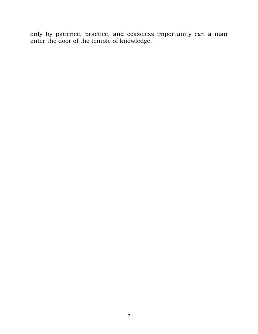only by patience, practice, and ceaseless importunity can a man enter the door of the temple of knowledge.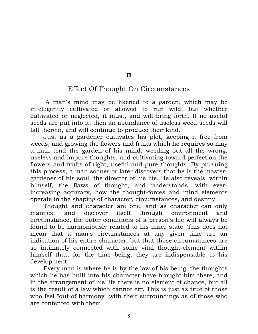II

### Effect Of Thought On Circumstances

A man's mind may be likened to a garden, which may be intelligently cultivated or allowed to run wild; but whether cultivated or neglected, it must, and will bring forth. If no useful seeds are put into it, then an abundance of useless weed-seeds will fall therein, and will continue to produce their kind.

 Just as a gardener cultivates his plot, keeping it free from weeds, and growing the flowers and fruits which he requires so may a man tend the garden of his mind, weeding out all the wrong, useless and impure thoughts, and cultivating toward perfection the flowers and fruits of right, useful and pure thoughts. By pursuing this process, a man sooner or later discovers that he is the mastergardener of his soul, the director of his life. He also reveals, within himself, the flaws of thought, and understands, with everincreasing accuracy, how the thought-forces and mind elements operate in the shaping of character, circumstances, and destiny.

 Thought and character are one, and as character can only manifest and discover itself through environment and circumstance, the outer conditions of a person's life will always be found to be harmoniously related to his inner state. This does not mean that a man's circumstances at any given time are an indication of his entire character, but that those circumstances are so intimately connected with some vital thought-element within himself that, for the time being, they are indispensable to his development.

 Every man is where he is by the law of his being; the thoughts which he has built into his character have brought him there, and in the arrangement of his life there is no element of chance, but all is the result of a law which cannot err. This is just as true of those who feel "out of harmony" with their surroundings as of those who are contented with them.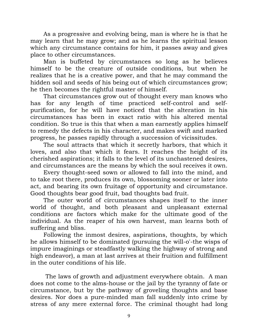As a progressive and evolving being, man is where he is that he may learn that he may grow; and as he learns the spiritual lesson which any circumstance contains for him, it passes away and gives place to other circumstances.

 Man is buffeted by circumstances so long as he believes himself to be the creature of outside conditions, but when he realizes that he is a creative power, and that he may command the hidden soil and seeds of his being out of which circumstances grow; he then becomes the rightful master of himself.

 That circumstances grow out of thought every man knows who has for any length of time practiced self-control and selfpurification, for he will have noticed that the alteration in his circumstances has been in exact ratio with his altered mental condition. So true is this that when a man earnestly applies himself to remedy the defects in his character, and makes swift and marked progress, he passes rapidly through a succession of vicissitudes.

 The soul attracts that which it secretly harbors, that which it loves, and also that which it fears. It reaches the height of its cherished aspirations; it falls to the level of its unchastened desires, and circumstances are the means by which the soul receives it own.

 Every thought-seed sown or allowed to fall into the mind, and to take root there, produces its own, blossoming sooner or later into act, and bearing its own fruitage of opportunity and circumstance. Good thoughts bear good fruit, bad thoughts bad fruit.

 The outer world of circumstances shapes itself to the inner world of thought, and both pleasant and unpleasant external conditions are factors which make for the ultimate good of the individual. As the reaper of his own harvest, man learns both of suffering and bliss.

 Following the inmost desires, aspirations, thoughts, by which he allows himself to be dominated (pursuing the will-o'-the wisps of impure imaginings or steadfastly walking the highway of strong and high endeavor), a man at last arrives at their fruition and fulfillment in the outer conditions of his life.

The laws of growth and adjustment everywhere obtain. A man does not come to the alms-house or the jail by the tyranny of fate or circumstance, but by the pathway of groveling thoughts and base desires. Nor does a pure-minded man fall suddenly into crime by stress of any mere external force. The criminal thought had long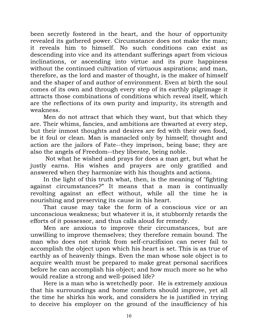been secretly fostered in the heart, and the hour of opportunity revealed its gathered power. Circumstance does not make the man; it reveals him to himself. No such conditions can exist as descending into vice and its attendant sufferings apart from vicious inclinations, or ascending into virtue and its pure happiness without the continued cultivation of virtuous aspirations; and man, therefore, as the lord and master of thought, is the maker of himself and the shaper of and author of environment. Even at birth the soul comes of its own and through every step of its earthly pilgrimage it attracts those combinations of conditions which reveal itself, which are the reflections of its own purity and impurity, its strength and weakness.

 Men do not attract that which they want, but that which they are. Their whims, fancies, and ambitions are thwarted at every step, but their inmost thoughts and desires are fed with their own food, be it foul or clean. Man is manacled only by himself; thought and action are the jailors of Fate--they imprison, being base; they are also the angels of Freedom--they liberate, being noble.

Not what he wished and prays for does a man get, but what he justly earns. His wishes and prayers are only gratified and answered when they harmonize with his thoughts and actions.

 In the light of this truth what, then, is the meaning of "fighting against circumstances?" It means that a man is continually revolting against an effect without, while all the time he is nourishing and preserving its cause in his heart.

 That cause may take the form of a conscious vice or an unconscious weakness; but whatever it is, it stubbornly retards the efforts of it possessor, and thus calls aloud for remedy.

 Men are anxious to improve their circumstances, but are unwilling to improve themselves; they therefore remain bound. The man who does not shrink from self-crucifixion can never fail to accomplish the object upon which his heart is set. This is as true of earthly as of heavenly things. Even the man whose sole object is to acquire wealth must be prepared to make great personal sacrifices before he can accomplish his object; and how much more so he who would realize a strong and well-poised life?

 Here is a man who is wretchedly poor. He is extremely anxious that his surroundings and home comforts should improve, yet all the time he shirks his work, and considers he is justified in trying to deceive his employer on the ground of the insufficiency of his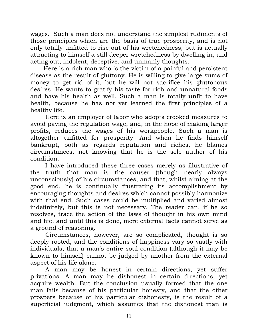wages. Such a man does not understand the simplest rudiments of those principles which are the basis of true prosperity, and is not only totally unfitted to rise out of his wretchedness, but is actually attracting to himself a still deeper wretchedness by dwelling in, and acting out, indolent, deceptive, and unmanly thoughts.

 Here is a rich man who is the victim of a painful and persistent disease as the result of gluttony. He is willing to give large sums of money to get rid of it, but he will not sacrifice his gluttonous desires. He wants to gratify his taste for rich and unnatural foods and have his health as well. Such a man is totally unfit to have health, because he has not yet learned the first principles of a healthy life.

 Here is an employer of labor who adopts crooked measures to avoid paying the regulation wage, and, in the hope of making larger profits, reduces the wages of his workpeople. Such a man is altogether unfitted for prosperity. And when he finds himself bankrupt, both as regards reputation and riches, he blames circumstances, not knowing that he is the sole author of his condition.

 I have introduced these three cases merely as illustrative of the truth that man is the causer (though nearly always unconsciously) of his circumstances, and that, whilst aiming at the good end, he is continually frustrating its accomplishment by encouraging thoughts and desires which cannot possibly harmonize with that end. Such cases could be multiplied and varied almost indefinitely, but this is not necessary. The reader can, if he so resolves, trace the action of the laws of thought in his own mind and life, and until this is done, mere external facts cannot serve as a ground of reasoning.

 Circumstances, however, are so complicated, thought is so deeply rooted, and the conditions of happiness vary so vastly with individuals, that a man's entire soul condition (although it may be known to himself) cannot be judged by another from the external aspect of his life alone.

 A man may be honest in certain directions, yet suffer privations. A man may be dishonest in certain directions, yet acquire wealth. But the conclusion usually formed that the one man fails because of his particular honesty, and that the other prospers because of his particular dishonesty, is the result of a superficial judgment, which assumes that the dishonest man is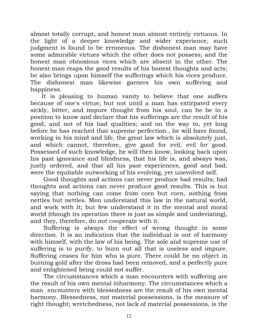almost totally corrupt, and honest man almost entirely virtuous. In the light of a deeper knowledge and wider experience, such judgment is found to be erroneous. The dishonest man may have some admirable virtues which the other does not possess; and the honest man obnoxious vices which are absent in the other. The honest man reaps the good results of his honest thoughts and acts; he also brings upon himself the sufferings which his vices produce. The dishonest man likewise garners his own suffering and happiness.

 It is pleasing to human vanity to believe that one suffers because of one's virtue; but not until a man has extirpated every sickly, bitter, and impure thought from his soul, can he be in a position to know and declare that his sufferings are the result of his good, and not of his bad qualities; and on the way to, yet long before he has reached that supreme perfection , he will have found, working in his mind and life, the great law which is absolutely just, and which cannot, therefore, give good for evil, evil for good. Possessed of such knowledge, he will then know, looking back upon his past ignorance and blindness, that his life is, and always was, justly ordered, and that all his past experiences, good and bad, were the equitable outworking of his evolving, yet unevolved self.

 Good thoughts and actions can never produce bad results; bad thoughts and actions can never produce good results. This is but saying that nothing can come from corn but corn, nothing from nettles but nettles. Men understand this law in the natural world, and work with it; but few understand it in the mental and moral world (though its operation there is just as simple and undeviating), and they, therefore, do not cooperate with it.

 Suffering is always the effect of wrong thought in some direction. It is an indication that the individual is out of harmony with himself, with the law of his being. The sole and supreme use of suffering is to purify, to burn out all that is useless and impure. Suffering ceases for him who is pure. There could be no object in burning gold after the dross had been removed, and a perfectly pure and enlightened being could not suffer.

 The circumstances which a man encounters with suffering are the result of his own mental inharmony. The circumstances which a man encounters with blessedness are the result of his own mental harmony. Blessedness, not material possessions, is the measure of right thought; wretchedness, not lack of material possessions, is the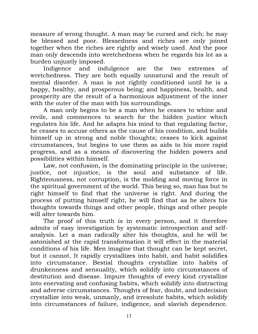measure of wrong thought. A man may be cursed and rich; he may be blessed and poor. Blessedness and riches are only joined together when the riches are rightly and wisely used. And the poor man only descends into wretchedness when he regards his lot as a burden unjustly imposed.

 Indigence and indulgence are the two extremes of wretchedness. They are both equally unnatural and the result of mental disorder. A man is not rightly conditioned until he is a happy, healthy, and prosperous being; and happiness, health, and prosperity are the result of a harmonious adjustment of the inner with the outer of the man with his surroundings.

 A man only begins to be a man when he ceases to whine and revile, and commences to search for the hidden justice which regulates his life. And he adapts his mind to that regulating factor, he ceases to accuse others as the cause of his condition, and builds himself up in strong and noble thoughts; ceases to kick against circumstances, but begins to use them as aids to his more rapid progress, and as a means of discovering the hidden powers and possibilities within himself.

 Law, not confusion, is the dominating principle in the universe; justice, not injustice, is the soul and substance of life. Righteousness, not corruption, is the molding and moving force in the spiritual government of the world. This being so, man has but to right himself to find that the universe is right. And during the process of putting himself right, he will find that as he alters his thoughts towards things and other people, things and other people will alter towards him.

 The proof of this truth is in every person, and it therefore admits of easy investigation by systematic introspection and selfanalysis. Let a man radically alter his thoughts, and he will be astonished at the rapid transformation it will effect in the material conditions of his life. Men imagine that thought can be kept secret, but it cannot. It rapidly crystallizes into habit, and habit solidifies into circumstance. Bestial thoughts crystallize into habits of drunkenness and sensuality, which solidify into circumstances of destitution and disease. Impure thoughts of every kind crystallize into enervating and confusing habits, which solidify into distracting and adverse circumstances. Thoughts of fear, doubt, and indecision crystallize into weak, unmanly, and irresolute habits, which solidify into circumstances of failure, indigence, and slavish dependence.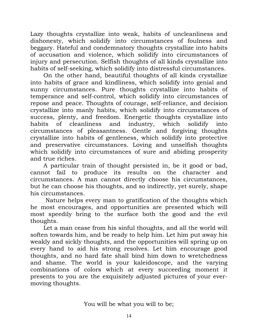Lazy thoughts crystallize into weak, habits of uncleanliness and dishonesty, which solidify into circumstances of foulness and beggary. Hateful and condemnatory thoughts crystallize into habits of accusation and violence, which solidify into circumstances of injury and persecution. Selfish thoughts of all kinds crystallize into habits of self-seeking, which solidify into distressful circumstances.

 On the other hand, beautiful thoughts of all kinds crystallize into habits of grace and kindliness, which solidify into genial and sunny circumstances. Pure thoughts crystallize into habits of temperance and self-control, which solidify into circumstances of repose and peace. Thoughts of courage, self-reliance, and decision crystallize into manly habits, which solidify into circumstances of success, plenty, and freedom. Energetic thoughts crystallize into habits of cleanliness and industry, which solidify into circumstances of pleasantness. Gentle and forgiving thoughts crystallize into habits of gentleness, which solidify into protective and preservative circumstances. Loving and unselfish thoughts which solidify into circumstances of sure and abiding prosperity and true riches.

 A particular train of thought persisted in, be it good or bad, cannot fail to produce its results on the character and circumstances. A man cannot directly choose his circumstances, but he can choose his thoughts, and so indirectly, yet surely, shape his circumstances.

Nature helps every man to gratification of the thoughts which he most encourages, and opportunities are presented which will most speedily bring to the surface both the good and the evil thoughts.

 Let a man cease from his sinful thoughts, and all the world will soften towards him, and be ready to help him. Let him put away his weakly and sickly thoughts, and the opportunities will spring up on every hand to aid his strong resolves. Let him encourage good thoughts, and no hard fate shall bind him down to wretchedness and shame. The world is your kaleidoscope, and the varying combinations of colors which at every succeeding moment it presents to you are the exquisitely adjusted pictures of your evermoving thoughts.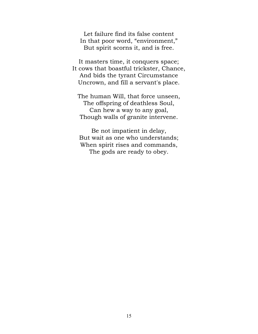Let failure find its false content In that poor word, "environment," But spirit scorns it, and is free.

It masters time, it conquers space; It cows that boastful trickster, Chance, And bids the tyrant Circumstance Uncrown, and fill a servant's place.

The human Will, that force unseen, The offspring of deathless Soul, Can hew a way to any goal, Though walls of granite intervene.

Be not impatient in delay, But wait as one who understands; When spirit rises and commands, The gods are ready to obey.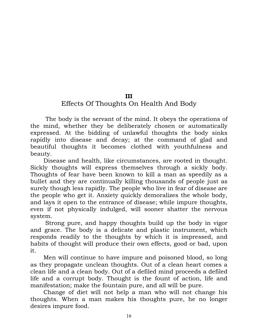#### III

## Effects Of Thoughts On Health And Body

The body is the servant of the mind. It obeys the operations of the mind, whether they be deliberately chosen or automatically expressed. At the bidding of unlawful thoughts the body sinks rapidly into disease and decay; at the command of glad and beautiful thoughts it becomes clothed with youthfulness and beauty.

 Disease and health, like circumstances, are rooted in thought. Sickly thoughts will express themselves through a sickly body. Thoughts of fear have been known to kill a man as speedily as a bullet and they are continually killing thousands of people just as surely though less rapidly. The people who live in fear of disease are the people who get it. Anxiety quickly demoralizes the whole body, and lays it open to the entrance of disease; while impure thoughts, even if not physically indulged, will sooner shatter the nervous system.

 Strong pure, and happy thoughts build up the body in vigor and grace. The body is a delicate and plastic instrument, which responds readily to the thoughts by which it is impressed, and habits of thought will produce their own effects, good or bad, upon it.

 Men will continue to have impure and poisoned blood, so long as they propagate unclean thoughts. Out of a clean heart comes a clean life and a clean body. Out of a defiled mind proceeds a defiled life and a corrupt body. Thought is the fount of action, life and manifestation; make the fountain pure, and all will be pure.

 Change of diet will not help a man who will not change his thoughts. When a man makes his thoughts pure, he no longer desires impure food.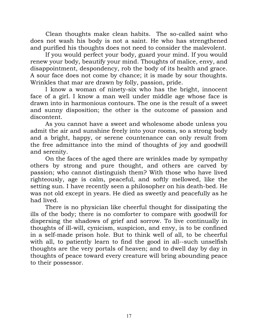Clean thoughts make clean habits. The so-called saint who does not wash his body is not a saint. He who has strengthened and purified his thoughts does not need to consider the malevolent.

 If you would perfect your body, guard your mind. If you would renew your body, beautify your mind. Thoughts of malice, envy, and disappointment, despondency, rob the body of its health and grace. A sour face does not come by chance; it is made by sour thoughts. Wrinkles that mar are drawn by folly, passion, pride.

 I know a woman of ninety-six who has the bright, innocent face of a girl. I know a man well under middle age whose face is drawn into in harmonious contours. The one is the result of a sweet and sunny disposition; the other is the outcome of passion and discontent.

 As you cannot have a sweet and wholesome abode unless you admit the air and sunshine freely into your rooms, so a strong body and a bright, happy, or serene countenance can only result from the free admittance into the mind of thoughts of joy and goodwill and serenity.

 On the faces of the aged there are wrinkles made by sympathy others by strong and pure thought, and others are carved by passion; who cannot distinguish them? With those who have lived righteously, age is calm, peaceful, and softly mellowed, like the setting sun. I have recently seen a philosopher on his death-bed. He was not old except in years. He died as sweetly and peacefully as he had lived.

 There is no physician like cheerful thought for dissipating the ills of the body; there is no comforter to compare with goodwill for dispersing the shadows of grief and sorrow. To live continually in thoughts of ill-will, cynicism, suspicion, and envy, is to be confined in a self-made prison hole. But to think well of all, to be cheerful with all, to patiently learn to find the good in all--such unselfish thoughts are the very portals of heaven; and to dwell day by day in thoughts of peace toward every creature will bring abounding peace to their possessor.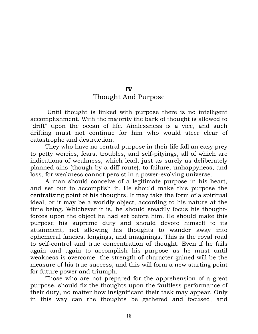## IV

### Thought And Purpose

 Until thought is linked with purpose there is no intelligent accomplishment. With the majority the bark of thought is allowed to "drift" upon the ocean of life. Aimlessness is a vice, and such drifting must not continue for him who would steer clear of catastrophe and destruction.

 They who have no central purpose in their life fall an easy prey to petty worries, fears, troubles, and self-pityings, all of which are indications of weakness, which lead, just as surely as deliberately planned sins (though by a diff route), to failure, unhappyness, and loss, for weakness cannot persist in a power-evolving universe.

 A man should conceive of a legitimate purpose in his heart, and set out to accomplish it. He should make this purpose the centralizing point of his thoughts. It may take the form of a spiritual ideal, or it may be a worldly object, according to his nature at the time being. Whichever it is, he should steadily focus his thoughtforces upon the object he had set before him. He should make this purpose his supreme duty and should devote himself to its attainment, not allowing his thoughts to wander away into ephemeral fancies, longings, and imaginings. This is the royal road to self-control and true concentration of thought. Even if he fails again and again to accomplish his purpose--as he must until weakness is overcome--the strength of character gained will be the measure of his true success, and this will form a new starting point for future power and triumph.

 Those who are not prepared for the apprehension of a great purpose, should fix the thoughts upon the faultless performance of their duty, no matter how insignificant their task may appear. Only in this way can the thoughts be gathered and focused, and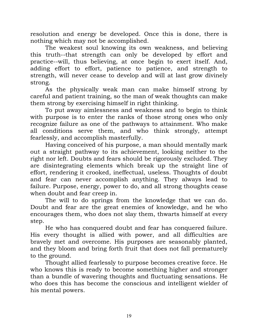resolution and energy be developed. Once this is done, there is nothing which may not be accomplished.

 The weakest soul knowing its own weakness, and believing this truth--that strength can only be developed by effort and practice--will, thus believing, at once begin to exert itself. And, adding effort to effort, patience to patience, and strength to strength, will never cease to develop and will at last grow divinely strong.

 As the physically weak man can make himself strong by careful and patient training, so the man of weak thoughts can make them strong by exercising himself in right thinking.

 To put away aimlessness and weakness and to begin to think with purpose is to enter the ranks of those strong ones who only recognize failure as one of the pathways to attainment. Who make all conditions serve them, and who think strongly, attempt fearlessly, and accomplish masterfully.

 Having conceived of his purpose, a man should mentally mark out a straight pathway to its achievement, looking neither to the right nor left. Doubts and fears should be rigorously excluded. They are disintegrating elements which break up the straight line of effort, rendering it crooked, ineffectual, useless. Thoughts of doubt and fear can never accomplish anything. They always lead to failure. Purpose, energy, power to do, and all strong thoughts cease when doubt and fear creep in.

 The will to do springs from the knowledge that we can do. Doubt and fear are the great enemies of knowledge, and he who encourages them, who does not slay them, thwarts himself at every step.

 He who has conquered doubt and fear has conquered failure. His every thought is allied with power, and all difficulties are bravely met and overcome. His purposes are seasonably planted, and they bloom and bring forth fruit that does not fall prematurely to the ground.

 Thought allied fearlessly to purpose becomes creative force. He who knows this is ready to become something higher and stronger than a bundle of wavering thoughts and fluctuating sensations. He who does this has become the conscious and intelligent wielder of his mental powers.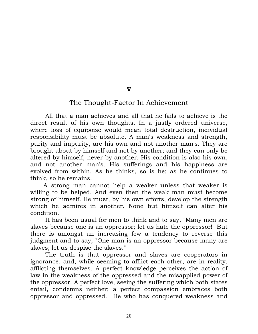#### V

### The Thought-Factor In Achievement

 All that a man achieves and all that he fails to achieve is the direct result of his own thoughts. In a justly ordered universe, where loss of equipoise would mean total destruction, individual responsibility must be absolute. A man's weakness and strength, purity and impurity, are his own and not another man's. They are brought about by himself and not by another; and they can only be altered by himself, never by another. His condition is also his own, and not another man's. His sufferings and his happiness are evolved from within. As he thinks, so is he; as he continues to think, so he remains.

 A strong man cannot help a weaker unless that weaker is willing to be helped. And even then the weak man must become strong of himself. He must, by his own efforts, develop the strength which he admires in another. None but himself can alter his condition.

 It has been usual for men to think and to say, "Many men are slaves because one is an oppressor; let us hate the oppressor!" But there is amongst an increasing few a tendency to reverse this judgment and to say, "One man is an oppressor because many are slaves; let us despise the slaves."

 The truth is that oppressor and slaves are cooperators in ignorance, and, while seeming to afflict each other, are in reality, afflicting themselves. A perfect knowledge perceives the action of law in the weakness of the oppressed and the misapplied power of the oppressor. A perfect love, seeing the suffering which both states entail, condemns neither; a perfect compassion embraces both oppressor and oppressed. He who has conquered weakness and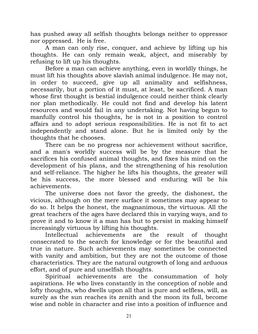has pushed away all selfish thoughts belongs neither to oppressor nor oppressed. He is free.

 A man can only rise, conquer, and achieve by lifting up his thoughts. He can only remain weak, abject, and miserably by refusing to lift up his thoughts.

 Before a man can achieve anything, even in worldly things, he must lift his thoughts above slavish animal indulgence. He may not, in order to succeed, give up all animality and selfishness, necessarily, but a portion of it must, at least, be sacrificed. A man whose first thought is bestial indulgence could neither think clearly nor plan methodically. He could not find and develop his latent resources and would fail in any undertaking. Not having begun to manfully control his thoughts, he is not in a position to control affairs and to adopt serious responsibilities. He is not fit to act independently and stand alone. But he is limited only by the thoughts that he chooses.

 There can be no progress nor achievement without sacrifice, and a man's worldly success will be by the measure that he sacrifices his confused animal thoughts, and fixes his mind on the development of his plans, and the strengthening of his resolution and self-reliance. The higher he lifts his thoughts, the greater will be his success, the more blessed and enduring will be his achievements.

 The universe does not favor the greedy, the dishonest, the vicious, although on the mere surface it sometimes may appear to do so. It helps the honest, the magnanimous, the virtuous. All the great teachers of the ages have declared this in varying ways, and to prove it and to know it a man has but to persist in making himself increasingly virtuous by lifting his thoughts.

 Intellectual achievements are the result of thought consecrated to the search for knowledge or for the beautiful and true in nature. Such achievements may sometimes be connected with vanity and ambition, but they are not the outcome of those characteristics. They are the natural outgrowth of long and arduous effort, and of pure and unselfish thoughts.

 Spiritual achievements are the consummation of holy aspirations. He who lives constantly in the conception of noble and lofty thoughts, who dwells upon all that is pure and selfless, will, as surely as the sun reaches its zenith and the moon its full, become wise and noble in character and rise into a position of influence and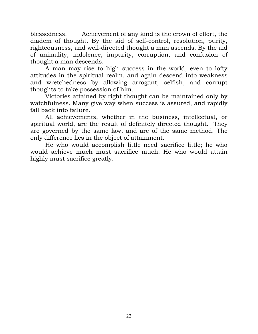blessedness. Achievement of any kind is the crown of effort, the diadem of thought. By the aid of self-control, resolution, purity, righteousness, and well-directed thought a man ascends. By the aid of animality, indolence, impurity, corruption, and confusion of thought a man descends.

 A man may rise to high success in the world, even to lofty attitudes in the spiritual realm, and again descend into weakness and wretchedness by allowing arrogant, selfish, and corrupt thoughts to take possession of him.

 Victories attained by right thought can be maintained only by watchfulness. Many give way when success is assured, and rapidly fall back into failure.

 All achievements, whether in the business, intellectual, or spiritual world, are the result of definitely directed thought. They are governed by the same law, and are of the same method. The only difference lies in the object of attainment.

 He who would accomplish little need sacrifice little; he who would achieve much must sacrifice much. He who would attain highly must sacrifice greatly.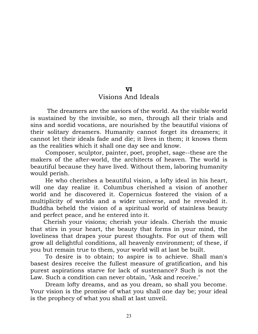# VI

### Visions And Ideals

 The dreamers are the saviors of the world. As the visible world is sustained by the invisible, so men, through all their trials and sins and sordid vocations, are nourished by the beautiful visions of their solitary dreamers. Humanity cannot forget its dreamers; it cannot let their ideals fade and die; it lives in them; it knows them as the realities which it shall one day see and know.

 Composer, sculptor, painter, poet, prophet, sage--these are the makers of the after-world, the architects of heaven. The world is beautiful because they have lived. Without them, laboring humanity would perish.

 He who cherishes a beautiful vision, a lofty ideal in his heart, will one day realize it. Columbus cherished a vision of another world and he discovered it. Copernicus fostered the vision of a multiplicity of worlds and a wider universe, and he revealed it. Buddha beheld the vision of a spiritual world of stainless beauty and perfect peace, and he entered into it.

 Cherish your visions; cherish your ideals. Cherish the music that stirs in your heart, the beauty that forms in your mind, the loveliness that drapes your purest thoughts. For out of them will grow all delightful conditions, all heavenly environment; of these, if you but remain true to them, your world will at last be built.

 To desire is to obtain; to aspire is to achieve. Shall man's basest desires receive the fullest measure of gratification, and his purest aspirations starve for lack of sustenance? Such is not the Law. Such a condition can never obtain, "Ask and receive."

 Dream lofty dreams, and as you dream, so shall you become. Your vision is the promise of what you shall one day be; your ideal is the prophecy of what you shall at last unveil.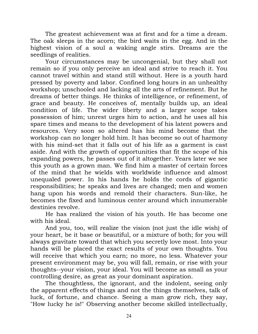The greatest achievement was at first and for a time a dream. The oak sleeps in the acorn; the bird waits in the egg. And in the highest vision of a soul a waking angle stirs. Dreams are the seedlings of realities.

 Your circumstances may be uncongenial, but they shall not remain so if you only perceive an ideal and strive to reach it. You cannot travel within and stand still without. Here is a youth hard pressed by poverty and labor. Confined long hours in an unhealthy workshop; unschooled and lacking all the arts of refinement. But he dreams of better things. He thinks of intelligence, or refinement, of grace and beauty. He conceives of, mentally builds up, an ideal condition of life. The wider liberty and a larger scope takes possession of him; unrest urges him to action, and he uses all his spare times and means to the development of his latent powers and resources. Very soon so altered has his mind become that the workshop can no longer hold him. It has become so out of harmony with his mind-set that it falls out of his life as a garment is cast aside. And with the growth of opportunities that fit the scope of his expanding powers, he passes out of it altogether. Years later we see this youth as a grown man. We find him a master of certain forces of the mind that he wields with worldwide influence and almost unequaled power. In his hands he holds the cords of gigantic responsibilities; he speaks and lives are changed; men and women hang upon his words and remold their characters. Sun-like, he becomes the fixed and luminous center around which innumerable destinies revolve.

He has realized the vision of his youth. He has become one with his ideal.

 And you, too, will realize the vision (not just the idle wish) of your heart, be it base or beautiful, or a mixture of both; for you will always gravitate toward that which you secretly love most. Into your hands will be placed the exact results of your own thoughts. You will receive that which you earn; no more, no less. Whatever your present environment may be, you will fall, remain, or rise with your thoughts--your vision, your ideal. You will become as small as your controlling desire, as great as your dominant aspiration.

 The thoughtless, the ignorant, and the indolent, seeing only the apparent effects of things and not the things themselves, talk of luck, of fortune, and chance. Seeing a man grow rich, they say, "How lucky he is!" Observing another become skilled intellectually,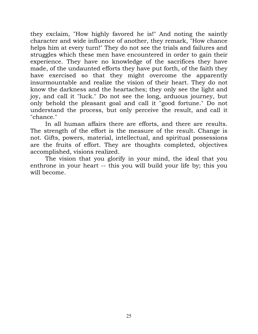they exclaim, "How highly favored he is!" And noting the saintly character and wide influence of another, they remark, "How chance helps him at every turn!" They do not see the trials and failures and struggles which these men have encountered in order to gain their experience. They have no knowledge of the sacrifices they have made, of the undaunted efforts they have put forth, of the faith they have exercised so that they might overcome the apparently insurmountable and realize the vision of their heart. They do not know the darkness and the heartaches; they only see the light and joy, and call it "luck." Do not see the long, arduous journey, but only behold the pleasant goal and call it "good fortune." Do not understand the process, but only perceive the result, and call it "chance."

 In all human affairs there are efforts, and there are results. The strength of the effort is the measure of the result. Change is not. Gifts, powers, material, intellectual, and spiritual possessions are the fruits of effort. They are thoughts completed, objectives accomplished, visions realized.

 The vision that you glorify in your mind, the ideal that you enthrone in your heart -- this you will build your life by; this you will become.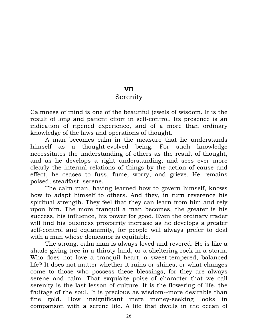## VII

## Serenity

Calmness of mind is one of the beautiful jewels of wisdom. It is the result of long and patient effort in self-control. Its presence is an indication of ripened experience, and of a more than ordinary knowledge of the laws and operations of thought.

 A man becomes calm in the measure that he understands himself as a thought-evolved being. For such knowledge necessitates the understanding of others as the result of thought, and as he develops a right understanding, and sees ever more clearly the internal relations of things by the action of cause and effect, he ceases to fuss, fume, worry, and grieve. He remains poised, steadfast, serene.

 The calm man, having learned how to govern himself, knows how to adapt himself to others. And they, in turn reverence his spiritual strength. They feel that they can learn from him and rely upon him. The more tranquil a man becomes, the greater is his success, his influence, his power for good. Even the ordinary trader will find his business prosperity increase as he develops a greater self-control and equanimity, for people will always prefer to deal with a man whose demeanor is equitable.

 The strong, calm man is always loved and revered. He is like a shade-giving tree in a thirsty land, or a sheltering rock in a storm. Who does not love a tranquil heart, a sweet-tempered, balanced life? It does not matter whether it rains or shines, or what changes come to those who possess these blessings, for they are always serene and calm. That exquisite poise of character that we call serenity is the last lesson of culture. It is the flowering of life, the fruitage of the soul. It is precious as wisdom--more desirable than fine gold. How insignificant mere money-seeking looks in comparison with a serene life. A life that dwells in the ocean of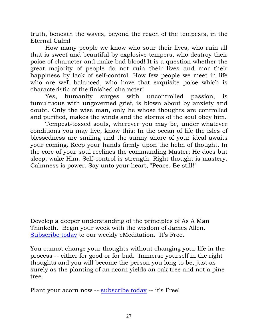truth, beneath the waves, beyond the reach of the tempests, in the Eternal Calm!

 How many people we know who sour their lives, who ruin all that is sweet and beautiful by explosive tempers, who destroy their poise of character and make bad blood! It is a question whether the great majority of people do not ruin their lives and mar their happiness by lack of self-control. How few people we meet in life who are well balanced, who have that exquisite poise which is characteristic of the finished character!

 Yes, humanity surges with uncontrolled passion, is tumultuous with ungoverned grief, is blown about by anxiety and doubt. Only the wise man, only he whose thoughts are controlled and purified, makes the winds and the storms of the soul obey him.

 Tempest-tossed souls, wherever you may be, under whatever conditions you may live, know this: In the ocean of life the isles of blessedness are smiling and the sunny shore of your ideal awaits your coming. Keep your hands firmly upon the helm of thought. In the core of your soul reclines the commanding Master; He does but sleep; wake Him. Self-control is strength. Right thought is mastery. Calmness is power. Say unto your heart, "Peace. Be still!"

Develop a deeper understanding of the principles of As A Man Thinketh. Begin your week with the wisdom of James Allen. [Subscribe today](mailto:emeditation-request@asamanthinketh.net?subject=subscribe) to our weekly eMeditation. It's Free.

You cannot change your thoughts without changing your life in the process -- either for good or for bad. Immerse yourself in the right thoughts and you will become the person you long to be, just as surely as the planting of an acorn yields an oak tree and not a pine tree.

Plant your acorn now -- [subscribe today](mailto:emeditation-request@asamanthinketh.net?subject=subscribe) -- it's Free!